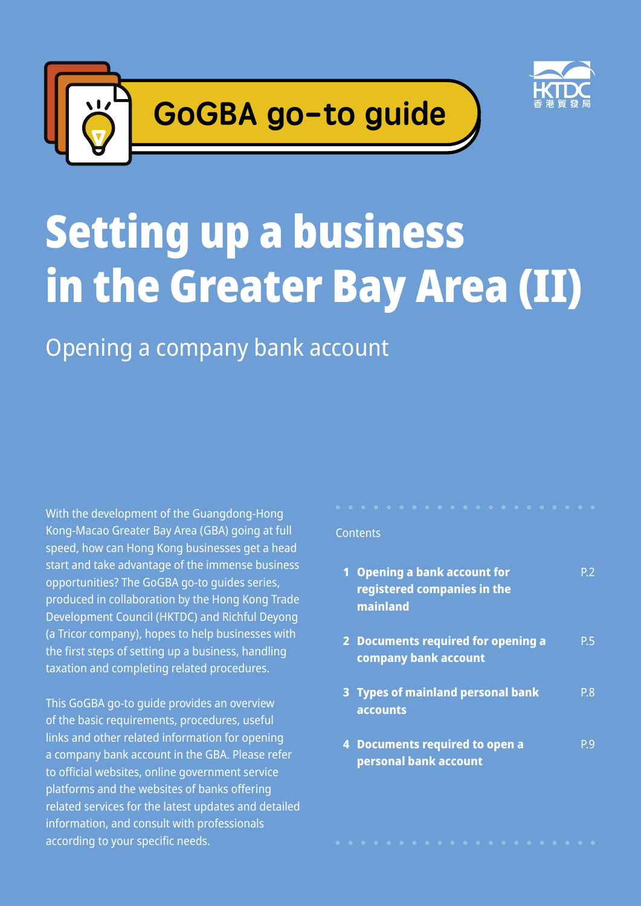



# Setting up a business in the Greater Bay Area (II)

Opening a company bank account

With the development of the Guangdong-Hong Kong-Macao Greater Bay Area (GBA) going at full speed, how can Hong Kong businesses get a head start and take advantage of the immense business opportunities? The GoGBA go-to guides series, produced in collaboration by the Hong Kong Trade Development Council (HKTDC) and Richful Deyong (a Tricor company), hopes to help businesses with the first steps of setting up a business, handling taxation and completing related procedures.

This GoGBA go-to guide provides an overview of the basic requirements, procedures, useful links and other related information for opening a company bank account in the GBA. Please refer to official websites, online government service platforms and the websites of banks offering related services for the latest updates and detailed information, and consult with professionals according to your specific needs.

#### **Contents**

| <b>Opening a bank account for</b><br>registered companies in the<br>mainland | P 2 |
|------------------------------------------------------------------------------|-----|
| 2 Documents required for opening a<br>company bank account                   | P.5 |
| 3 Types of mainland personal bank<br>accounts                                | P.8 |
| 4 Documents required to open a<br>personal bank account                      | Р9  |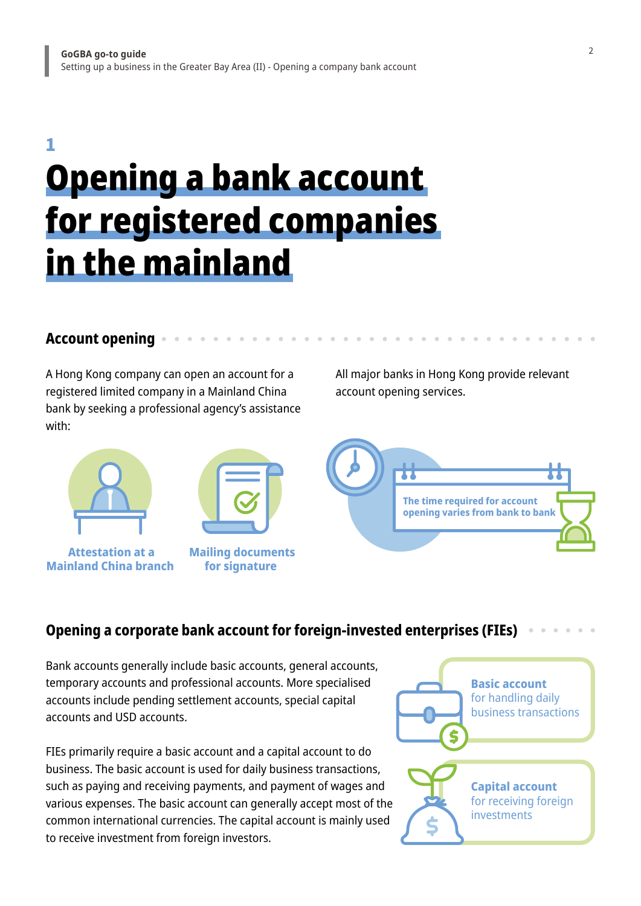### Opening a bank account for registered companies in the mainland 1

### **Account opening**

A Hong Kong company can open an account for a registered limited company in a Mainland China bank by seeking a professional agency's assistance with:





 **Attestation at a Mainland China branch**

 **Mailing documents for signature**

All major banks in Hong Kong provide relevant account opening services.



### **Opening a corporate bank account for foreign-invested enterprises (FIEs)**

Bank accounts generally include basic accounts, general accounts, temporary accounts and professional accounts. More specialised accounts include pending settlement accounts, special capital accounts and USD accounts.

FIEs primarily require a basic account and a capital account to do business. The basic account is used for daily business transactions, such as paying and receiving payments, and payment of wages and various expenses. The basic account can generally accept most of the common international currencies. The capital account is mainly used to receive investment from foreign investors.

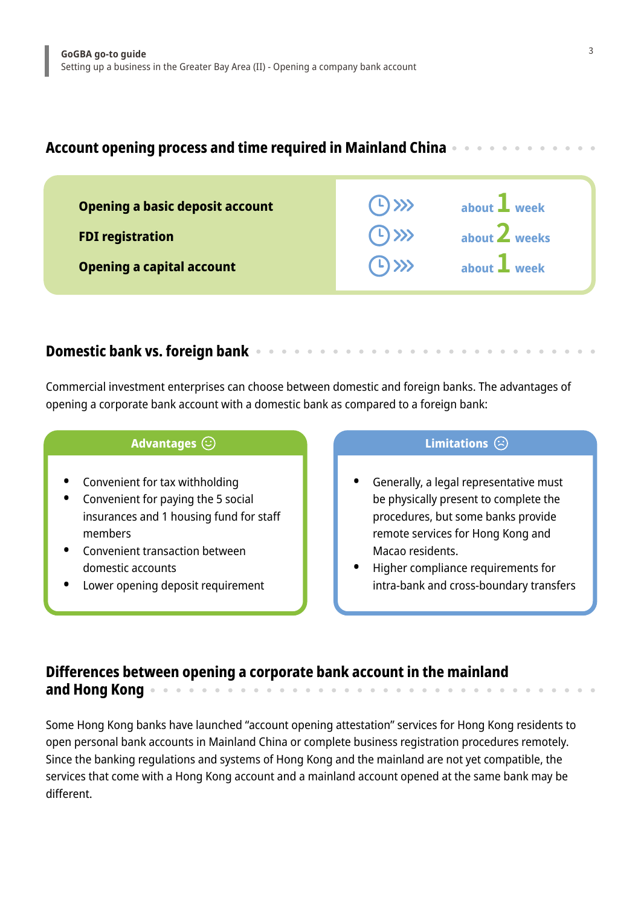### **Account opening process and time required in Mainland China**

| $(1)$ >>><br>weeks<br>about $\angle$  |
|---------------------------------------|
| $(1)$ $\gg$<br>about <b>L</b><br>week |
|                                       |

### **Domestic bank vs. foreign bank**

Commercial investment enterprises can choose between domestic and foreign banks. The advantages of opening a corporate bank account with a domestic bank as compared to a foreign bank:

#### **Advantages**  $\bigcirc$  **Limitations**  $\bigcirc$

- **•** Convenient for tax withholding
- **•** Convenient for paying the 5 social insurances and 1 housing fund for staff members
- **•** Convenient transaction between domestic accounts
- **•** Lower opening deposit requirement

- **•** Generally, a legal representative must be physically present to complete the procedures, but some banks provide remote services for Hong Kong and Macao residents.
- **•** Higher compliance requirements for intra-bank and cross-boundary transfers

### **Differences between opening a corporate bank account in the mainland and Hong Kong**

Some Hong Kong banks have launched "account opening attestation" services for Hong Kong residents to open personal bank accounts in Mainland China or complete business registration procedures remotely. Since the banking regulations and systems of Hong Kong and the mainland are not yet compatible, the services that come with a Hong Kong account and a mainland account opened at the same bank may be different.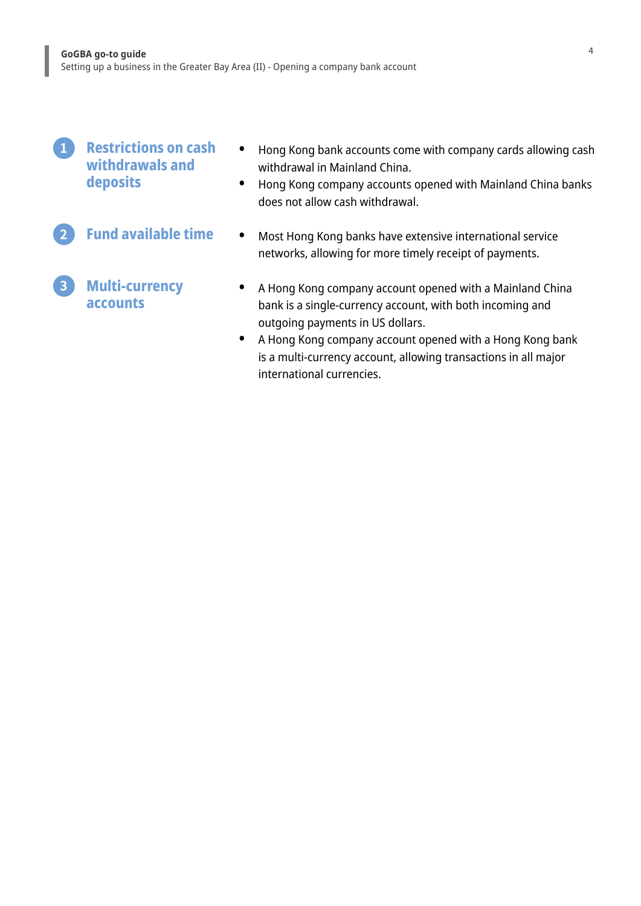ľ

l

| <b>Restrictions on cash</b><br>withdrawals and<br>deposits | $\bullet$ | Hong Kong bank accounts come with company cards allowing cash<br>withdrawal in Mainland China.<br>Hong Kong company accounts opened with Mainland China banks<br>does not allow cash withdrawal.                                                                                                                      |
|------------------------------------------------------------|-----------|-----------------------------------------------------------------------------------------------------------------------------------------------------------------------------------------------------------------------------------------------------------------------------------------------------------------------|
| <b>Fund available time</b>                                 | $\bullet$ | Most Hong Kong banks have extensive international service<br>networks, allowing for more timely receipt of payments.                                                                                                                                                                                                  |
| <b>Multi-currency</b><br>accounts                          | $\bullet$ | A Hong Kong company account opened with a Mainland China<br>bank is a single-currency account, with both incoming and<br>outgoing payments in US dollars.<br>A Hong Kong company account opened with a Hong Kong bank<br>is a multi-currency account, allowing transactions in all major<br>international currencies. |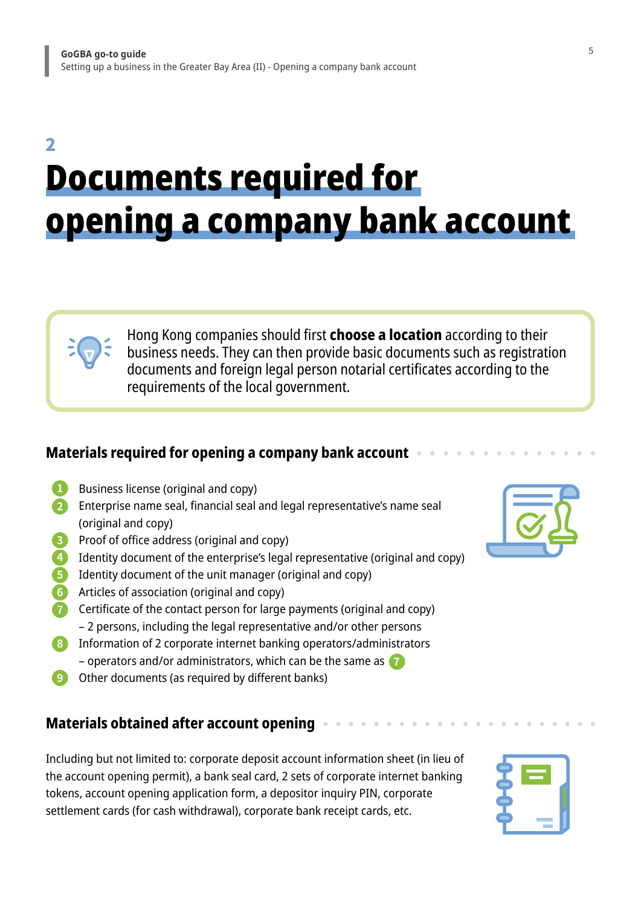### Documents required for opening a company bank account 2

Hong Kong companies should first **choose a location** according to their business needs. They can then provide basic documents such as registration documents and foreign legal person notarial certificates according to the requirements of the local government.

### **Materials required for opening a company bank account**

- **1** Business license (original and copy)
- **2** Enterprise name seal, financial seal and legal representative's name seal (original and copy)
- **3** Proof of office address (original and copy)
- **4** Identity document of the enterprise's legal representative (original and copy)
- **5** Identity document of the unit manager (original and copy)
- **6** Articles of association (original and copy)
- **7** Certificate of the contact person for large payments (original and copy) – 2 persons, including the legal representative and/or other persons
- **7** operators and/or administrators, which can be the same as **8** Information of 2 corporate internet banking operators/administrators
- **9** Other documents (as required by different banks)

### **Materials obtained after account opening**

Including but not limited to: corporate deposit account information sheet (in lieu of the account opening permit), a bank seal card, 2 sets of corporate internet banking tokens, account opening application form, a depositor inquiry PIN, corporate settlement cards (for cash withdrawal), corporate bank receipt cards, etc.

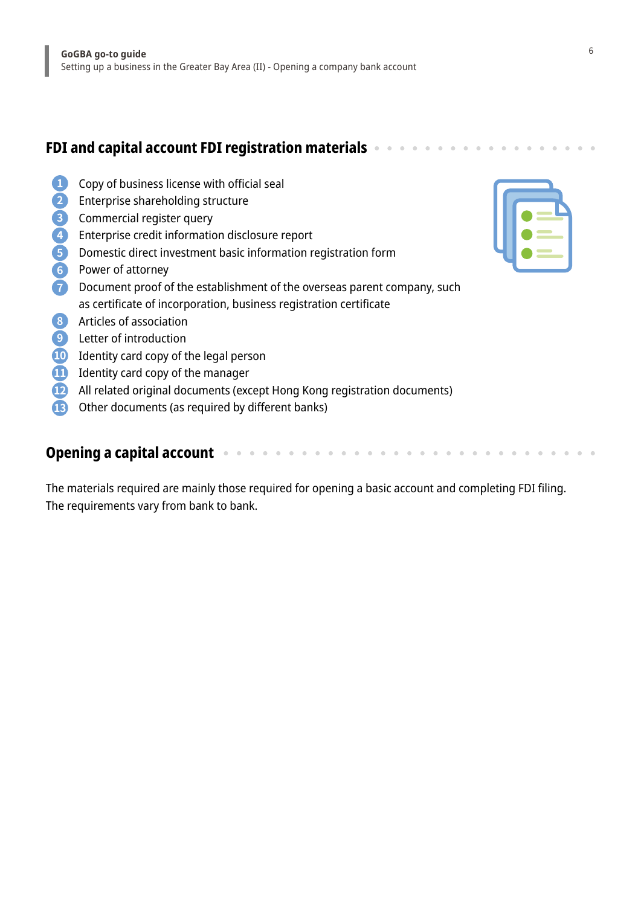### **FDI and capital account FDI registration materials**

- Copy of business license with official seal **1**
- Enterprise shareholding structure **2**
- Commercial register query **3**
- Enterprise credit information disclosure report **4**
- Domestic direct investment basic information registration form **5**
- Power of attorney **6**
- Document proof of the establishment of the overseas parent company, such **7** as certificate of incorporation, business registration certificate
- Articles of association **8**
- Letter of introduction **9**
- Identity card copy of the legal person **10**
- Identity card copy of the manager **11**
- All related original documents (except Hong Kong registration documents) **12**
- Other documents (as required by different banks) **13**

#### **Opening a capital account**

The materials required are mainly those required for opening a basic account and completing FDI filing. The requirements vary from bank to bank.

 $\alpha=0$  $\alpha$ 

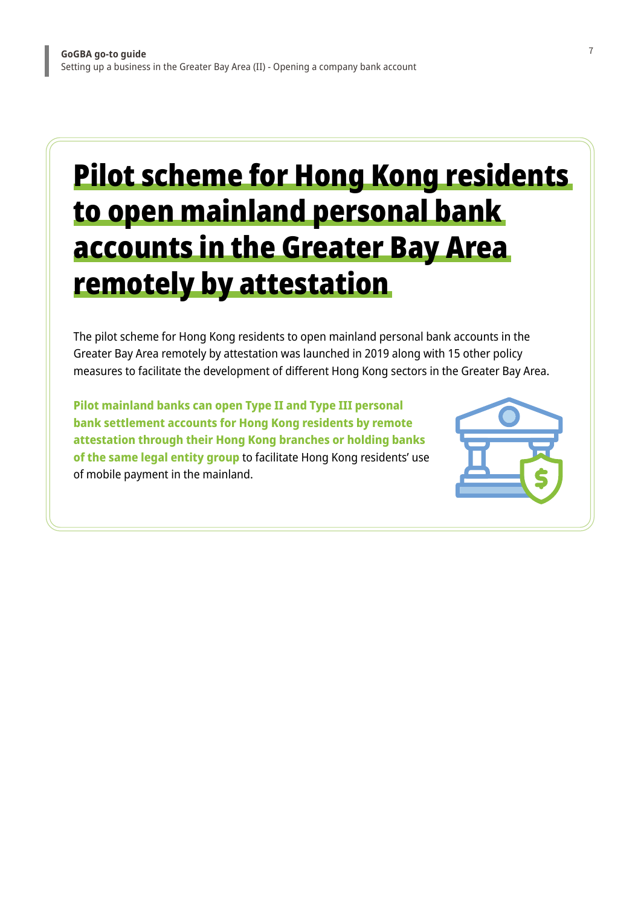### Pilot scheme for Hong Kong residents to open mainland personal bank accounts in the Greater Bay Area remotely by attestation

The pilot scheme for Hong Kong residents to open mainland personal bank accounts in the Greater Bay Area remotely by attestation was launched in 2019 along with 15 other policy measures to facilitate the development of different Hong Kong sectors in the Greater Bay Area.

**Pilot mainland banks can open Type II and Type III personal bank settlement accounts for Hong Kong residents by remote attestation through their Hong Kong branches or holding banks of the same legal entity group** to facilitate Hong Kong residents' use of mobile payment in the mainland.

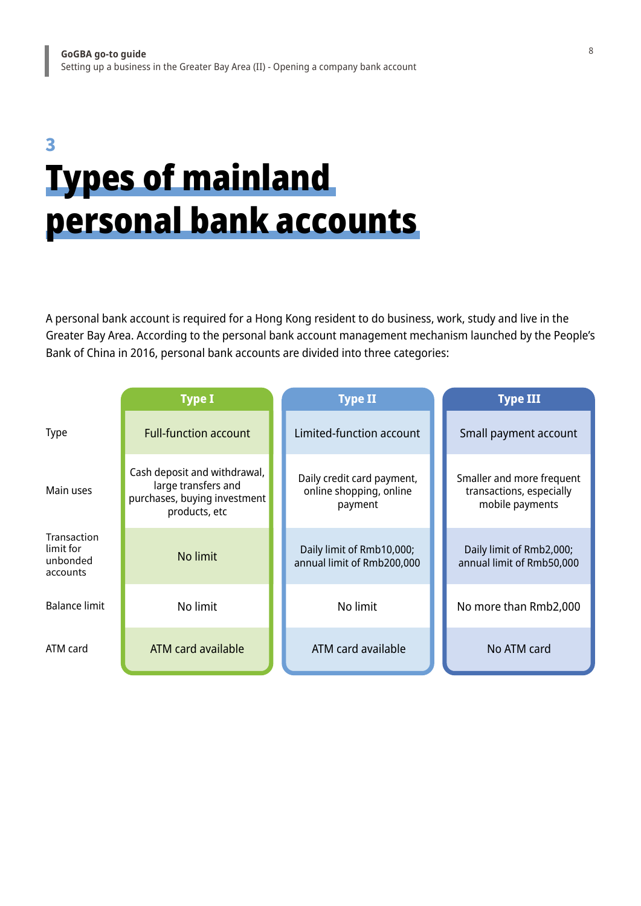### Types of mainland personal bank accounts 3

A personal bank account is required for a Hong Kong resident to do business, work, study and live in the Greater Bay Area. According to the personal bank account management mechanism launched by the People's Bank of China in 2016, personal bank accounts are divided into three categories:

|                                                  | <b>Type I</b>                                                                                        | <b>Type II</b>                                                   | <b>Type III</b>                                                          |
|--------------------------------------------------|------------------------------------------------------------------------------------------------------|------------------------------------------------------------------|--------------------------------------------------------------------------|
| <b>Type</b>                                      | <b>Full-function account</b>                                                                         | Limited-function account                                         | Small payment account                                                    |
| Main uses                                        | Cash deposit and withdrawal,<br>large transfers and<br>purchases, buying investment<br>products, etc | Daily credit card payment,<br>online shopping, online<br>payment | Smaller and more frequent<br>transactions, especially<br>mobile payments |
| Transaction<br>limit for<br>unbonded<br>accounts | No limit                                                                                             | Daily limit of Rmb10,000;<br>annual limit of Rmb200,000          | Daily limit of Rmb2,000;<br>annual limit of Rmb50,000                    |
| Balance limit                                    | No limit                                                                                             | No limit                                                         | No more than Rmb2,000                                                    |
| ATM card                                         | ATM card available                                                                                   | ATM card available                                               | No ATM card                                                              |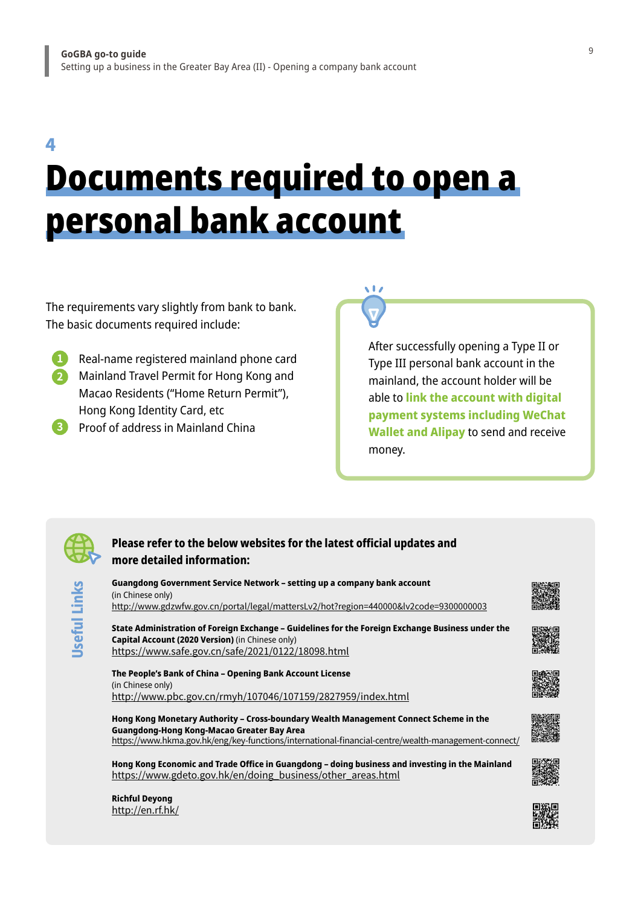4

## Documents required to open a personal bank account

 $\sqrt{17}$ 

The requirements vary slightly from bank to bank. The basic documents required include:

- **1 2** Mainland Travel Permit for Hong Kong and Real-name registered mainland phone card Macao Residents ("Home Return Permit"), Hong Kong Identity Card, etc
- **3** Proof of address in Mainland China

After successfully opening a Type II or Type III personal bank account in the mainland, the account holder will be able to **link the account with digital payment systems including WeChat Wallet and Alipay** to send and receive money.



**Useful Links**

Jseful Links

#### **Please refer to the below websites for the latest official updates and more detailed information:**

**Guangdong Government Service Network – setting up a company bank account** (in Chinese only) <http://www.gdzwfw.gov.cn/portal/legal/mattersLv2/hot?region=440000&lv2code=9300000003>

**State Administration of Foreign Exchange – Guidelines for the Foreign Exchange Business under the Capital Account (2020 Version)** (in Chinese only) <https://www.safe.gov.cn/safe/2021/0122/18098.html>

**The People's Bank of China – Opening Bank Account License** (in Chinese only) <http://www.pbc.gov.cn/rmyh/107046/107159/2827959/index.html>

**Hong Kong Monetary Authority – Cross-boundary Wealth Management Connect Scheme in the Guangdong-Hong Kong-Macao Greater Bay Area** <https://www.hkma.gov.hk/eng/key-functions/international-financial-centre/wealth-management-connect/>

**Hong Kong Economic and Trade Office in Guangdong – doing business and investing in the Mainland** [https://www.gdeto.gov.hk/en/doing\\_business/other\\_areas.html](https://www.gdeto.gov.hk/en/doing_business/other_areas.html)

**Richful Deyong** <http://en.rf.hk/>